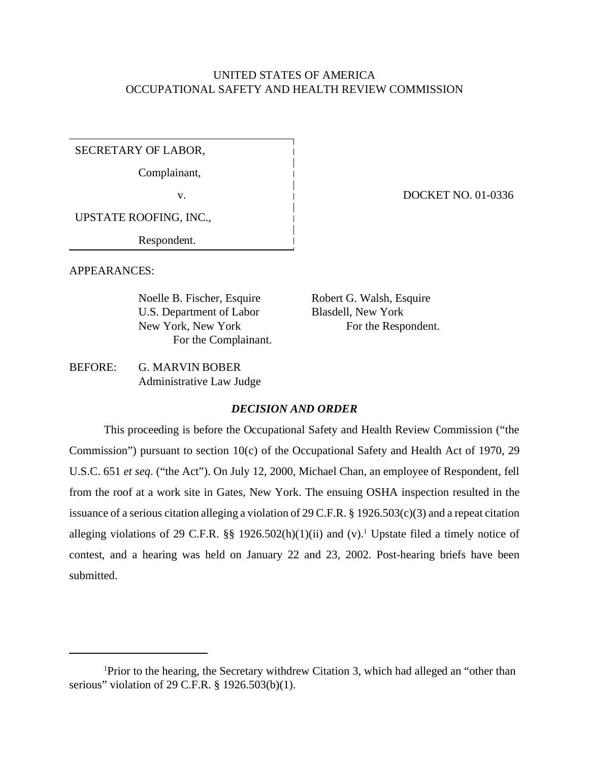# UNITED STATES OF AMERICA OCCUPATIONAL SAFETY AND HEALTH REVIEW COMMISSION

SECRETARY OF LABOR,

Complainant,

v. 1 DOCKET NO. 01-0336

UPSTATE ROOFING, INC.,

Respondent.

APPEARANCES:

Noelle B. Fischer, Esquire Robert G. Walsh, Esquire U.S. Department of Labor Blasdell, New York New York, New York For the Respondent. For the Complainant.

BEFORE: G. MARVIN BOBER Administrative Law Judge

## *DECISION AND ORDER*

This proceeding is before the Occupational Safety and Health Review Commission ("the Commission") pursuant to section 10(c) of the Occupational Safety and Health Act of 1970, 29 U.S.C. 651 *et seq*. ("the Act"). On July 12, 2000, Michael Chan, an employee of Respondent, fell from the roof at a work site in Gates, New York. The ensuing OSHA inspection resulted in the issuance of a serious citation alleging a violation of 29 C.F.R. § 1926.503(c)(3) and a repeat citation alleging violations of 29 C.F.R.  $\S$  1926.502(h)(1)(ii) and (v).<sup>1</sup> Upstate filed a timely notice of contest, and a hearing was held on January 22 and 23, 2002. Post-hearing briefs have been submitted.

<sup>1</sup>Prior to the hearing, the Secretary withdrew Citation 3, which had alleged an "other than serious" violation of 29 C.F.R. § 1926.503(b)(1).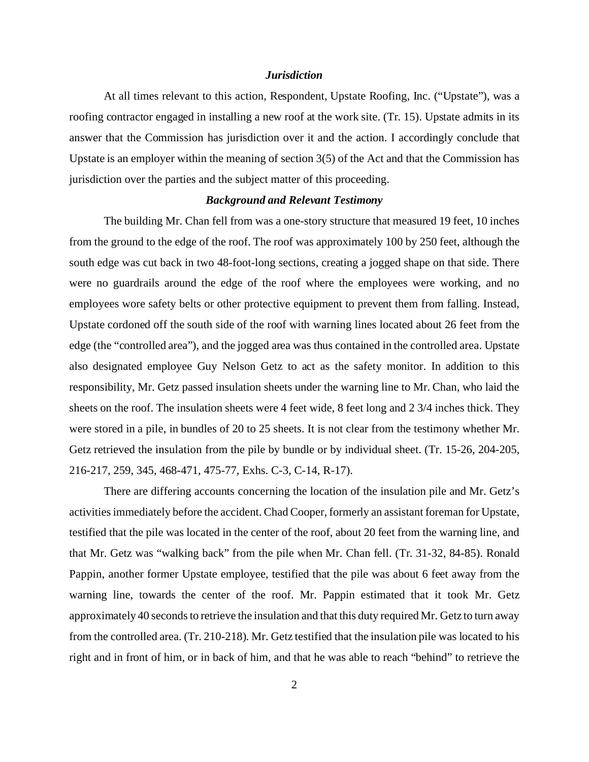### *Jurisdiction*

At all times relevant to this action, Respondent, Upstate Roofing, Inc. ("Upstate"), was a roofing contractor engaged in installing a new roof at the work site. (Tr. 15). Upstate admits in its answer that the Commission has jurisdiction over it and the action. I accordingly conclude that Upstate is an employer within the meaning of section 3(5) of the Act and that the Commission has jurisdiction over the parties and the subject matter of this proceeding.

### *Background and Relevant Testimony*

The building Mr. Chan fell from was a one-story structure that measured 19 feet, 10 inches from the ground to the edge of the roof. The roof was approximately 100 by 250 feet, although the south edge was cut back in two 48-foot-long sections, creating a jogged shape on that side. There were no guardrails around the edge of the roof where the employees were working, and no employees wore safety belts or other protective equipment to prevent them from falling. Instead, Upstate cordoned off the south side of the roof with warning lines located about 26 feet from the edge (the "controlled area"), and the jogged area was thus contained in the controlled area. Upstate also designated employee Guy Nelson Getz to act as the safety monitor. In addition to this responsibility, Mr. Getz passed insulation sheets under the warning line to Mr. Chan, who laid the sheets on the roof. The insulation sheets were 4 feet wide, 8 feet long and 2 3/4 inches thick. They were stored in a pile, in bundles of 20 to 25 sheets. It is not clear from the testimony whether Mr. Getz retrieved the insulation from the pile by bundle or by individual sheet. (Tr. 15-26, 204-205, 216-217, 259, 345, 468-471, 475-77, Exhs. C-3, C-14, R-17).

There are differing accounts concerning the location of the insulation pile and Mr. Getz's activities immediately before the accident. Chad Cooper, formerly an assistant foreman for Upstate, testified that the pile was located in the center of the roof, about 20 feet from the warning line, and that Mr. Getz was "walking back" from the pile when Mr. Chan fell. (Tr. 31-32, 84-85). Ronald Pappin, another former Upstate employee, testified that the pile was about 6 feet away from the warning line, towards the center of the roof. Mr. Pappin estimated that it took Mr. Getz approximately 40 seconds to retrieve the insulation and that this duty required Mr. Getz to turn away from the controlled area. (Tr. 210-218). Mr. Getz testified that the insulation pile was located to his right and in front of him, or in back of him, and that he was able to reach "behind" to retrieve the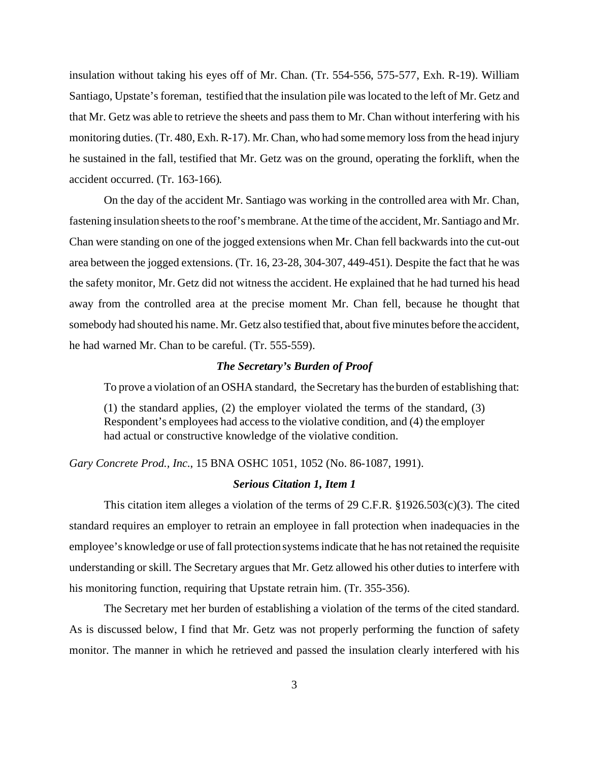insulation without taking his eyes off of Mr. Chan. (Tr. 554-556, 575-577, Exh. R-19). William Santiago, Upstate's foreman, testified that the insulation pile was located to the left of Mr. Getz and that Mr. Getz was able to retrieve the sheets and pass them to Mr. Chan without interfering with his monitoring duties. (Tr. 480, Exh. R-17). Mr. Chan, who had some memory loss from the head injury he sustained in the fall, testified that Mr. Getz was on the ground, operating the forklift, when the accident occurred. (Tr. 163-166).

On the day of the accident Mr. Santiago was working in the controlled area with Mr. Chan, fastening insulation sheets to the roof's membrane. At the time of the accident, Mr. Santiago and Mr. Chan were standing on one of the jogged extensions when Mr. Chan fell backwards into the cut-out area between the jogged extensions. (Tr. 16, 23-28, 304-307, 449-451). Despite the fact that he was the safety monitor, Mr. Getz did not witness the accident. He explained that he had turned his head away from the controlled area at the precise moment Mr. Chan fell, because he thought that somebody had shouted his name. Mr. Getz also testified that, about five minutes before the accident, he had warned Mr. Chan to be careful. (Tr. 555-559).

## *The Secretary's Burden of Proof*

To prove a violation of an OSHA standard, the Secretary has the burden of establishing that:

(1) the standard applies, (2) the employer violated the terms of the standard, (3) Respondent's employees had access to the violative condition, and (4) the employer had actual or constructive knowledge of the violative condition.

*Gary Concrete Prod., Inc.*, 15 BNA OSHC 1051, 1052 (No. 86-1087, 1991).

### *Serious Citation 1, Item 1*

This citation item alleges a violation of the terms of 29 C.F.R. §1926.503(c)(3). The cited standard requires an employer to retrain an employee in fall protection when inadequacies in the employee's knowledge or use of fall protection systems indicate that he has not retained the requisite understanding or skill. The Secretary argues that Mr. Getz allowed his other duties to interfere with his monitoring function, requiring that Upstate retrain him. (Tr. 355-356).

The Secretary met her burden of establishing a violation of the terms of the cited standard. As is discussed below, I find that Mr. Getz was not properly performing the function of safety monitor. The manner in which he retrieved and passed the insulation clearly interfered with his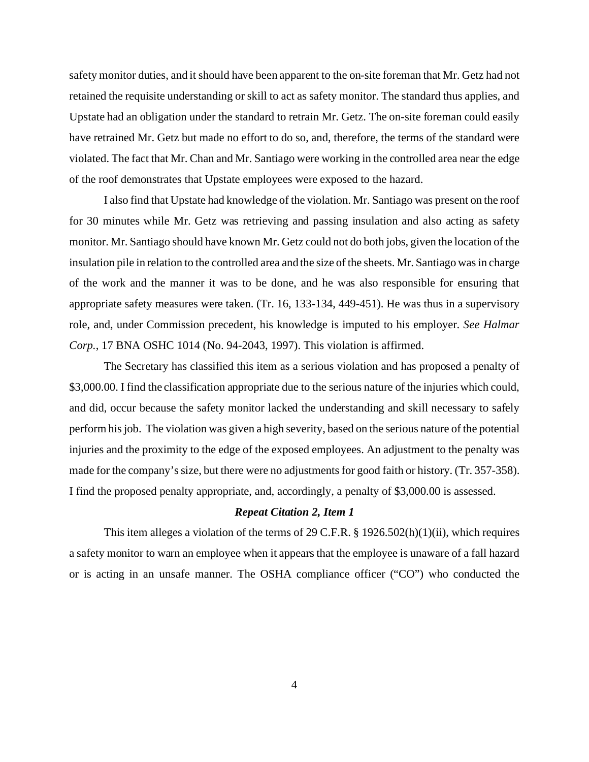safety monitor duties, and it should have been apparent to the on-site foreman that Mr. Getz had not retained the requisite understanding or skill to act as safety monitor. The standard thus applies, and Upstate had an obligation under the standard to retrain Mr. Getz. The on-site foreman could easily have retrained Mr. Getz but made no effort to do so, and, therefore, the terms of the standard were violated. The fact that Mr. Chan and Mr. Santiago were working in the controlled area near the edge of the roof demonstrates that Upstate employees were exposed to the hazard.

I also find that Upstate had knowledge of the violation. Mr. Santiago was present on the roof for 30 minutes while Mr. Getz was retrieving and passing insulation and also acting as safety monitor. Mr. Santiago should have known Mr. Getz could not do both jobs, given the location of the insulation pile in relation to the controlled area and the size of the sheets. Mr. Santiago was in charge of the work and the manner it was to be done, and he was also responsible for ensuring that appropriate safety measures were taken. (Tr. 16, 133-134, 449-451). He was thus in a supervisory role, and, under Commission precedent, his knowledge is imputed to his employer. *See Halmar Corp.*, 17 BNA OSHC 1014 (No. 94-2043, 1997). This violation is affirmed.

The Secretary has classified this item as a serious violation and has proposed a penalty of \$3,000.00. I find the classification appropriate due to the serious nature of the injuries which could, and did, occur because the safety monitor lacked the understanding and skill necessary to safely perform his job. The violation was given a high severity, based on the serious nature of the potential injuries and the proximity to the edge of the exposed employees. An adjustment to the penalty was made for the company's size, but there were no adjustments for good faith or history. (Tr. 357-358). I find the proposed penalty appropriate, and, accordingly, a penalty of \$3,000.00 is assessed.

#### *Repeat Citation 2, Item 1*

This item alleges a violation of the terms of 29 C.F.R. § 1926.502(h)(1)(ii), which requires a safety monitor to warn an employee when it appears that the employee is unaware of a fall hazard or is acting in an unsafe manner. The OSHA compliance officer ("CO") who conducted the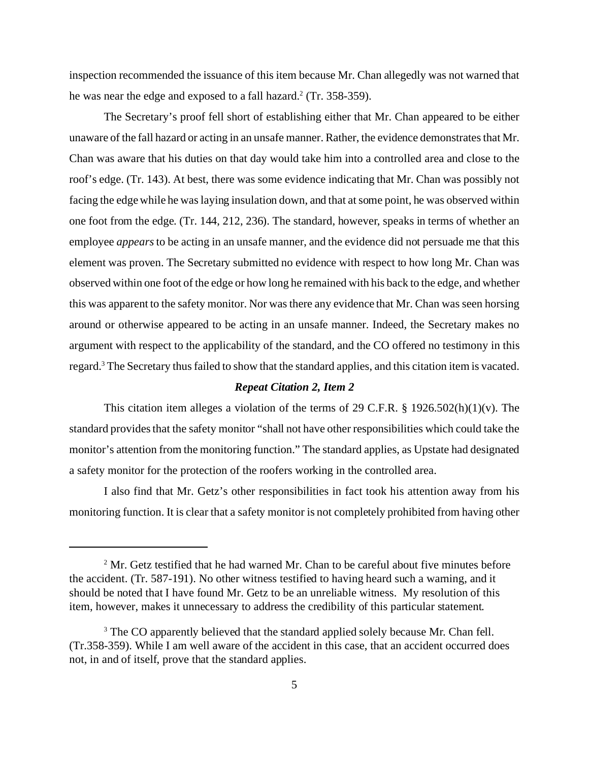inspection recommended the issuance of this item because Mr. Chan allegedly was not warned that he was near the edge and exposed to a fall hazard.<sup>2</sup> (Tr. 358-359).

The Secretary's proof fell short of establishing either that Mr. Chan appeared to be either unaware of the fall hazard or acting in an unsafe manner. Rather, the evidence demonstrates that Mr. Chan was aware that his duties on that day would take him into a controlled area and close to the roof's edge. (Tr. 143). At best, there was some evidence indicating that Mr. Chan was possibly not facing the edge while he was laying insulation down, and that at some point, he was observed within one foot from the edge. (Tr. 144, 212, 236). The standard, however, speaks in terms of whether an employee *appears* to be acting in an unsafe manner, and the evidence did not persuade me that this element was proven. The Secretary submitted no evidence with respect to how long Mr. Chan was observed within one foot of the edge or how long he remained with his back to the edge, and whether this was apparent to the safety monitor. Nor was there any evidence that Mr. Chan was seen horsing around or otherwise appeared to be acting in an unsafe manner. Indeed, the Secretary makes no argument with respect to the applicability of the standard, and the CO offered no testimony in this regard.<sup>3</sup> The Secretary thus failed to show that the standard applies, and this citation item is vacated.

### *Repeat Citation 2, Item 2*

This citation item alleges a violation of the terms of 29 C.F.R. § 1926.502(h)(1)(v). The standard provides that the safety monitor "shall not have other responsibilities which could take the monitor's attention from the monitoring function." The standard applies, as Upstate had designated a safety monitor for the protection of the roofers working in the controlled area.

I also find that Mr. Getz's other responsibilities in fact took his attention away from his monitoring function. It is clear that a safety monitor is not completely prohibited from having other

<sup>&</sup>lt;sup>2</sup> Mr. Getz testified that he had warned Mr. Chan to be careful about five minutes before the accident. (Tr. 587-191). No other witness testified to having heard such a warning, and it should be noted that I have found Mr. Getz to be an unreliable witness. My resolution of this item, however, makes it unnecessary to address the credibility of this particular statement.

<sup>&</sup>lt;sup>3</sup> The CO apparently believed that the standard applied solely because Mr. Chan fell. (Tr.358-359). While I am well aware of the accident in this case, that an accident occurred does not, in and of itself, prove that the standard applies.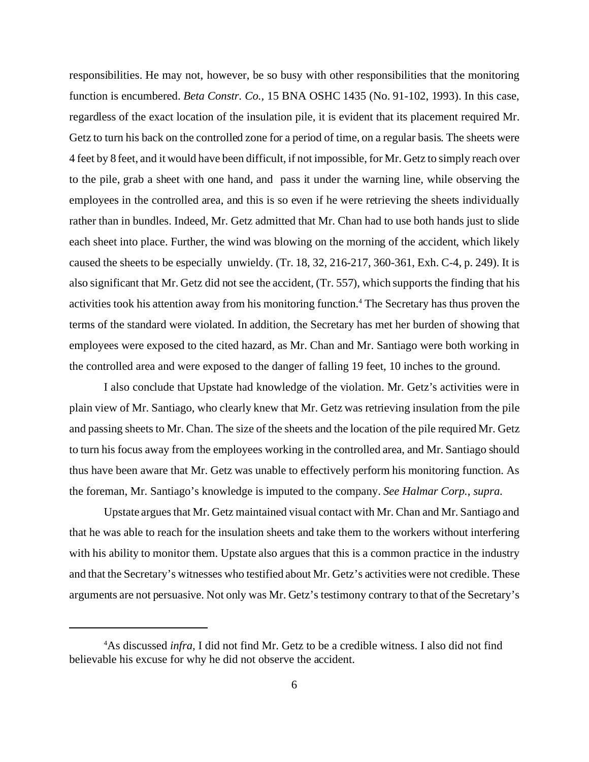responsibilities. He may not, however, be so busy with other responsibilities that the monitoring function is encumbered. *Beta Constr. Co.,* 15 BNA OSHC 1435 (No. 91-102, 1993). In this case, regardless of the exact location of the insulation pile, it is evident that its placement required Mr. Getz to turn his back on the controlled zone for a period of time, on a regular basis. The sheets were 4 feet by 8 feet, and it would have been difficult, if not impossible, for Mr. Getz to simply reach over to the pile, grab a sheet with one hand, and pass it under the warning line, while observing the employees in the controlled area, and this is so even if he were retrieving the sheets individually rather than in bundles. Indeed, Mr. Getz admitted that Mr. Chan had to use both hands just to slide each sheet into place. Further, the wind was blowing on the morning of the accident, which likely caused the sheets to be especially unwieldy. (Tr. 18, 32, 216-217, 360-361, Exh. C-4, p. 249). It is also significant that Mr. Getz did not see the accident, (Tr. 557), which supports the finding that his activities took his attention away from his monitoring function.<sup>4</sup> The Secretary has thus proven the terms of the standard were violated. In addition, the Secretary has met her burden of showing that employees were exposed to the cited hazard, as Mr. Chan and Mr. Santiago were both working in the controlled area and were exposed to the danger of falling 19 feet, 10 inches to the ground.

I also conclude that Upstate had knowledge of the violation. Mr. Getz's activities were in plain view of Mr. Santiago, who clearly knew that Mr. Getz was retrieving insulation from the pile and passing sheets to Mr. Chan. The size of the sheets and the location of the pile required Mr. Getz to turn his focus away from the employees working in the controlled area, and Mr. Santiago should thus have been aware that Mr. Getz was unable to effectively perform his monitoring function. As the foreman, Mr. Santiago's knowledge is imputed to the company. *See Halmar Corp.*, *supra*.

Upstate argues that Mr. Getz maintained visual contact with Mr. Chan and Mr. Santiago and that he was able to reach for the insulation sheets and take them to the workers without interfering with his ability to monitor them. Upstate also argues that this is a common practice in the industry and that the Secretary's witnesses who testified about Mr. Getz's activities were not credible. These arguments are not persuasive. Not only was Mr. Getz's testimony contrary to that of the Secretary's

<sup>4</sup>As discussed *infra,* I did not find Mr. Getz to be a credible witness. I also did not find believable his excuse for why he did not observe the accident.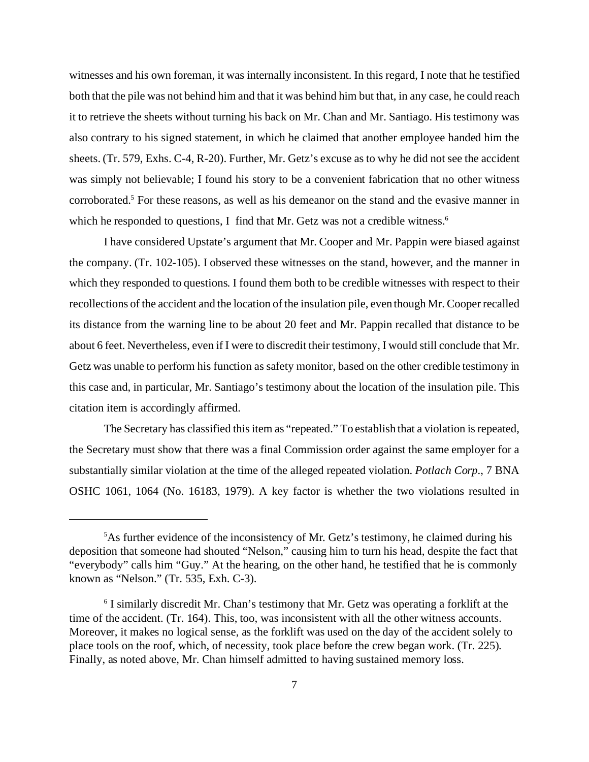witnesses and his own foreman, it was internally inconsistent. In this regard, I note that he testified both that the pile was not behind him and that it was behind him but that, in any case, he could reach it to retrieve the sheets without turning his back on Mr. Chan and Mr. Santiago. His testimony was also contrary to his signed statement, in which he claimed that another employee handed him the sheets. (Tr. 579, Exhs. C-4, R-20). Further, Mr. Getz's excuse as to why he did not see the accident was simply not believable; I found his story to be a convenient fabrication that no other witness corroborated.<sup>5</sup> For these reasons, as well as his demeanor on the stand and the evasive manner in which he responded to questions, I find that Mr. Getz was not a credible witness.<sup>6</sup>

I have considered Upstate's argument that Mr. Cooper and Mr. Pappin were biased against the company. (Tr. 102-105). I observed these witnesses on the stand, however, and the manner in which they responded to questions. I found them both to be credible witnesses with respect to their recollections of the accident and the location of the insulation pile, even though Mr. Cooper recalled its distance from the warning line to be about 20 feet and Mr. Pappin recalled that distance to be about 6 feet. Nevertheless, even if I were to discredit their testimony, I would still conclude that Mr. Getz was unable to perform his function as safety monitor, based on the other credible testimony in this case and, in particular, Mr. Santiago's testimony about the location of the insulation pile. This citation item is accordingly affirmed.

The Secretary has classified this item as "repeated." To establish that a violation is repeated, the Secretary must show that there was a final Commission order against the same employer for a substantially similar violation at the time of the alleged repeated violation. *Potlach Corp*., 7 BNA OSHC 1061, 1064 (No. 16183, 1979). A key factor is whether the two violations resulted in

 $5$ As further evidence of the inconsistency of Mr. Getz's testimony, he claimed during his deposition that someone had shouted "Nelson," causing him to turn his head, despite the fact that "everybody" calls him "Guy." At the hearing, on the other hand, he testified that he is commonly known as "Nelson." (Tr. 535, Exh. C-3).

<sup>&</sup>lt;sup>6</sup> I similarly discredit Mr. Chan's testimony that Mr. Getz was operating a forklift at the time of the accident. (Tr. 164). This, too, was inconsistent with all the other witness accounts. Moreover, it makes no logical sense, as the forklift was used on the day of the accident solely to place tools on the roof, which, of necessity, took place before the crew began work. (Tr. 225). Finally, as noted above, Mr. Chan himself admitted to having sustained memory loss.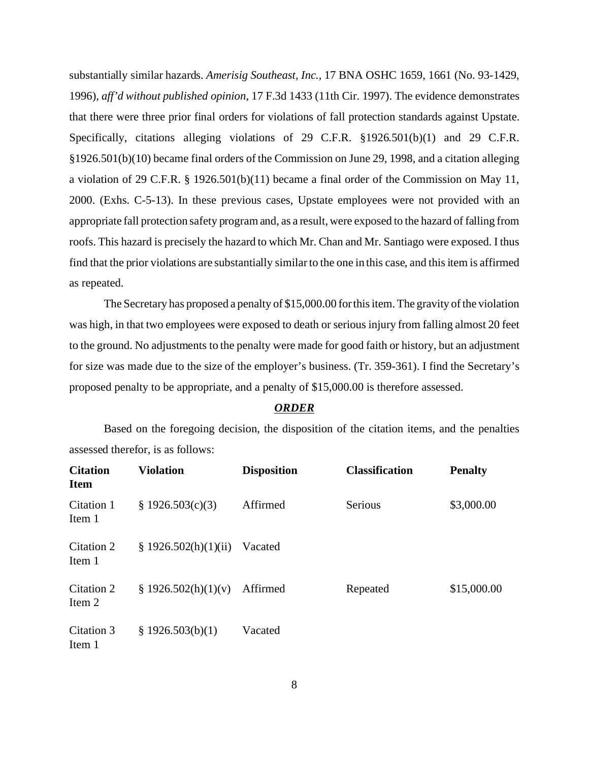substantially similar hazards. *Amerisig Southeast, Inc.,* 17 BNA OSHC 1659, 1661 (No. 93-1429, 1996), *aff'd without published opinion*, 17 F.3d 1433 (11th Cir. 1997). The evidence demonstrates that there were three prior final orders for violations of fall protection standards against Upstate. Specifically, citations alleging violations of 29 C.F.R. §1926.501(b)(1) and 29 C.F.R. §1926.501(b)(10) became final orders of the Commission on June 29, 1998, and a citation alleging a violation of 29 C.F.R. § 1926.501(b)(11) became a final order of the Commission on May 11, 2000. (Exhs. C-5-13). In these previous cases, Upstate employees were not provided with an appropriate fall protection safety program and, as a result, were exposed to the hazard of falling from roofs. This hazard is precisely the hazard to which Mr. Chan and Mr. Santiago were exposed. I thus find that the prior violations are substantially similar to the one in this case, and this item is affirmed as repeated.

The Secretary has proposed a penalty of \$15,000.00 for this item. The gravity of the violation was high, in that two employees were exposed to death or serious injury from falling almost 20 feet to the ground. No adjustments to the penalty were made for good faith or history, but an adjustment for size was made due to the size of the employer's business. (Tr. 359-361). I find the Secretary's proposed penalty to be appropriate, and a penalty of \$15,000.00 is therefore assessed.

### *ORDER*

Based on the foregoing decision, the disposition of the citation items, and the penalties assessed therefor, is as follows:

| <b>Citation</b><br><b>Item</b> | <b>Violation</b>     | <b>Disposition</b> | <b>Classification</b> | <b>Penalty</b> |
|--------------------------------|----------------------|--------------------|-----------------------|----------------|
| Citation 1<br>Item 1           | \$1926.503(c)(3)     | Affirmed           | Serious               | \$3,000.00     |
| Citation 2<br>Item 1           | \$1926.502(h)(1)(ii) | Vacated            |                       |                |
| Citation 2<br>Item 2           | \$1926.502(h)(1)(v)  | Affirmed           | Repeated              | \$15,000.00    |
| Citation 3<br>Item 1           | \$1926.503(b)(1)     | Vacated            |                       |                |